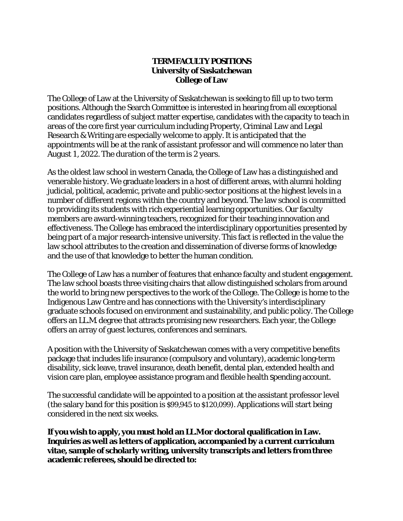## **TERM FACULTY POSITIONS University of Saskatchewan College of Law**

The College of Law at the University of Saskatchewan is seeking to fill up to two term positions. Although the Search Committee is interested in hearing from all exceptional candidates regardless of subject matter expertise, candidates with the capacity to teach in areas of the core first year curriculum including Property, Criminal Law and Legal Research & Writing are especially welcome to apply. It is anticipated that the appointments will be at the rank of assistant professor and will commence no later than August 1, 2022. The duration of the term is 2 years.

As the oldest law school in western Canada, the College of Law has a distinguished and venerable history. We graduate leaders in a host of different areas, with alumni holding judicial, political, academic, private and public-sector positions at the highest levels in a number of different regions within the country and beyond. The law school is committed to providing its students with rich experiential learning opportunities. Our faculty members are award-winning teachers, recognized for their teaching innovation and effectiveness. The College has embraced the interdisciplinary opportunities presented by being part of a major research-intensive university. This fact is reflected in the value the law school attributes to the creation and dissemination of diverse forms of knowledge and the use of that knowledge to better the human condition.

The College of Law has a number of features that enhance faculty and student engagement. The law school boasts three visiting chairs that allow distinguished scholars from around the world to bring new perspectives to the work of the College. The College is home to the Indigenous Law Centre and has connections with the University's interdisciplinary graduate schools focused on environment and sustainability, and public policy. The College offers an LL.M. degree that attracts promising new researchers. Each year, the College offers an array of guest lectures, conferences and seminars.

A position with the University of Saskatchewan comes with a very competitive benefits package that includes life insurance (compulsory and voluntary), academic long-term disability, sick leave, travel insurance, death benefit, dental plan, extended health and vision care plan, employee assistance program and flexible health spending account.

The successful candidate will be appointed to a position at the assistant professor level (the salary band for this position is \$99,945 to \$120,099). Applications will start being considered in the next six weeks.

**If you wish to apply, you must hold an LL.M or doctoral qualification in Law. Inquiries as well as letters of application, accompanied by a current** *curriculum vitae***, sample of scholarly writing, university transcripts and letters from three academic referees, should be directed to:**